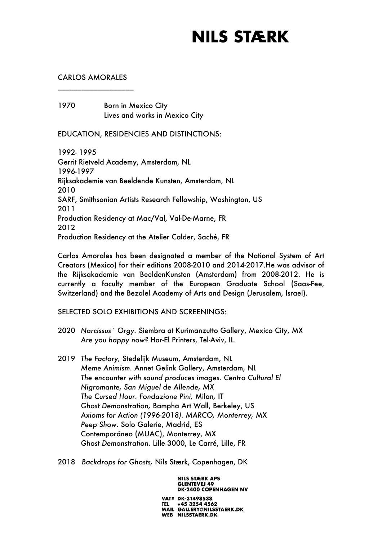#### CARLOS AMORALES \_\_\_\_\_\_\_\_\_\_\_\_\_\_\_\_\_\_\_

1970 Born in Mexico City Lives and works in Mexico City

EDUCATION, RESIDENCIES AND DISTINCTIONS:

1992- 1995 Gerrit Rietveld Academy, Amsterdam, NL 1996-1997 Rijksakademie van Beeldende Kunsten, Amsterdam, NL 2010 SARF, Smithsonian Artists Research Fellowship, Washington, US 2011 Production Residency at Mac/Val, Val-De-Marne, FR 2012 Production Residency at the Atelier Calder, Saché, FR

Carlos Amorales has been designated a member of the National System of Art Creators (Mexico) for their editions 2008-2010 and 2014-2017.He was advisor of the Rijksakademie van BeeldenKunsten (Amsterdam) from 2008-2012. He is currently a faculty member of the European Graduate School (Saas-Fee, Switzerland) and the Bezalel Academy of Arts and Design (Jerusalem, Israel).

SELECTED SOLO EXHIBITIONS AND SCREENINGS:

- 2020 *Narcissus´ Orgy.* Siembra at Kurimanzutto Gallery, Mexico City, MX *Are you happy now?* Har-El Printers, Tel-Aviv, IL.
- 2019 *The Factory,* Stedelijk Museum, Amsterdam, NL *Meme Animism.* Annet Gelink Gallery, Amsterdam, NL *The encounter with sound produces images. Centro Cultural El Nigromante, San Miguel de Allende, MX The Cursed Hour. Fondazione Pini,* Milan*,* IT *Ghost Demonstration,* Bampha Art Wall, Berkeley, US *Axioms for Action (1996-2018). MARCO, Monterrey,* MX *Peep Show.* Solo Galerie, Madrid, ES Contemporáneo (MUAC), Monterrey, MX *Ghost Demonstration.* Lille 3000, Le Carré, Lille, FR
- 2018 *Backdrops for Ghosts,* Nils Stærk, Copenhagen, DK

**NILS STÆRK APS GLENTEVEJ 49 DK-2400 COPENHAGEN NV**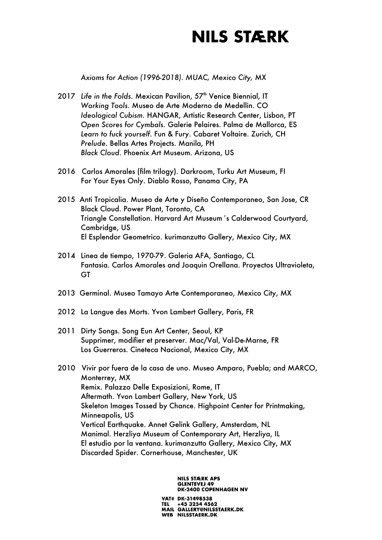*Axioms for Action (1996-2018). MUAC, Mexico City,* MX

- 2017 Life in the Folds. Mexican Pavilion, 57<sup>th</sup> Venice Biennial, IT *Working Tools*. Museo de Arte Moderno de Medellin. CO *Ideological Cubism.* HANGAR, Artistic Research Center, Lisbon, PT *Open Scores for Cymbals.* Galerie Pelaires. Palma de Mallorca, ES *Learn to fuck yourself*. Fun & Fury. Cabaret Voltaire. Zurich, CH *Prelude*. Bellas Artes Projects. Manila, PH *Black Cloud*. Phoenix Art Museum. Arizona, US
- 2016 Carlos Amorales (film trilogy). Darkroom, Turku Art Museum, FI For Your Eyes Only. Diablo Rosso, Panama City, PA
- 2015 Anti Tropicalia. Museo de Arte y Diseño Contemporaneo, San Jose, CR Black Cloud. Power Plant, Toronto, CA Triangle Constellation. Harvard Art Museum´s Calderwood Courtyard, Cambridge, US El Esplendor Geometrico. kurimanzutto Gallery, Mexico City, MX
- 2014 Linea de tiempo, 1970-79. Galeria AFA, Santiago, CL Fantasia. Carlos Amorales and Joaquin Orellana. Proyectos Ultravioleta, GT
- 2013 Germinal. Museo Tamayo Arte Contemporaneo, Mexico City, MX
- 2012 La Langue des Morts. Yvon Lambert Gallery, Paris, FR
- 2011 Dirty Songs. Song Eun Art Center, Seoul, KP Supprimer, modifier et preserver. Mac/Val, Val-De-Marne, FR Los Guerreros. Cineteca Nacional, Mexico City, MX
- 2010 Vivir por fuera de la casa de uno. Museo Amparo, Puebla; and MARCO, Monterrey, MX Remix. Palazzo Delle Exposizioni, Rome, IT Aftermath. Yvon Lambert Gallery, New York, US Skeleton Images Tossed by Chance. Highpoint Center for Printmaking, Minneapolis, US Vertical Earthquake. Annet Gelink Gallery, Amsterdam, NL Manimal. Herzliya Museum of Contemporary Art, Herzliya, IL El estudio por la ventana. kurimanzutto Gallery, Mexico City, MX Discarded Spider. Cornerhouse, Manchester, UK

**NILS STÆRK APS GLENTEVEJ 49 DK-2400 COPENHAGEN NV**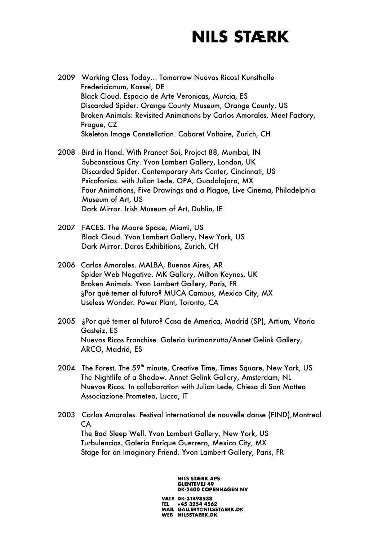- 2009 Working Class Today… Tomorrow Nuevos Ricos! Kunsthalle Fredericianum, Kassel, DE Black Cloud. Espacio de Arte Veronicas, Murcia, ES Discarded Spider. Orange County Museum, Orange County, US Broken Animals: Revisited Animations by Carlos Amorales. Meet Factory, Prague, CZ Skeleton Image Constellation. Cabaret Voltaire, Zurich, CH
- 2008 Bird in Hand. With Praneet Soi, Project 88, Mumbai, IN Subconscious City. Yvon Lambert Gallery, London, UK Discarded Spider. Contemporary Arts Center, Cincinnati, US Psicofonias. with Julian Lede, OPA, Guadalajara, MX Four Animations, Five Drawings and a Plague, Live Cinema, Philadelphia Museum of Art, US Dark Mirror. Irish Museum of Art, Dublin, IE
- 2007 FACES. The Moore Space, Miami, US Black Cloud. Yvon Lambert Gallery, New York, US Dark Mirror. Daros Exhibitions, Zurich, CH
- 2006 Carlos Amorales. MALBA, Buenos Aires, AR Spider Web Negative. MK Gallery, Milton Keynes, UK Broken Animals. Yvon Lambert Gallery, Paris, FR ¿Por qué temer al futuro? MUCA Campus, Mexico City, MX Useless Wonder. Power Plant, Toronto, CA
- 2005 ¿Por qué temer al futuro? Casa de America, Madrid (SP), Artium, Vitoria Gasteiz, ES Nuevos Ricos Franchise. Galeria kurimanzutto/Annet Gelink Gallery, ARCO, Madrid, ES
- 2004 The Forest. The 59<sup>th</sup> minute, Creative Time, Times Square, New York, US The Nightlife of a Shadow. Annet Gelink Gallery, Amsterdam, NL Nuevos Ricos. In collaboration with Julian Lede, Chiesa di San Matteo Associazione Prometeo, Lucca, IT
- 2003 Carlos Amorales. Festival international de nouvelle danse (FIND),Montreal CA The Bad Sleep Well. Yvon Lambert Gallery, New York, US Turbulencias. Galeria Enrique Guerrero, Mexico City, MX Stage for an Imaginary Friend. Yvon Lambert Gallery, Paris, FR

**NILS STÆRK APS GLENTEVEJ 49 DK-2400 COPENHAGEN NV**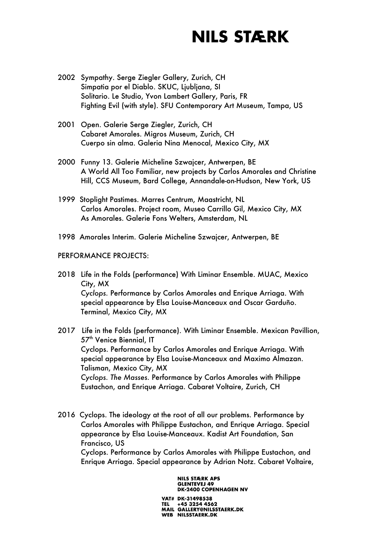- 2002 Sympathy. Serge Ziegler Gallery, Zurich, CH Simpatia por el Diablo. SKUC, Ljubljana, SI Solitario. Le Studio, Yvon Lambert Gallery, Paris, FR Fighting Evil (with style). SFU Contemporary Art Museum, Tampa, US
- 2001 Open. Galerie Serge Ziegler, Zurich, CH Cabaret Amorales. Migros Museum, Zurich, CH Cuerpo sin alma. Galeria Nina Menocal, Mexico City, MX
- 2000 Funny 13. Galerie Micheline Szwajcer, Antwerpen, BE A World All Too Familiar, new projects by Carlos Amorales and Christine Hill, CCS Museum, Bard College, Annandale-on-Hudson, New York, US
- 1999 Stoplight Pastimes. Marres Centrum, Maastricht, NL Carlos Amorales. Project room, Museo Carrillo Gil, Mexico City, MX As Amorales. Galerie Fons Welters, Amsterdam, NL
- 1998 Amorales Interim. Galerie Micheline Szwajcer, Antwerpen, BE

#### PERFORMANCE PROJECTS:

- 2018 Life in the Folds (performance) With Liminar Ensemble. MUAC, Mexico City, MX *Cyclops.* Performance by Carlos Amorales and Enrique Arriaga. With special appearance by Elsa Louise-Manceaux and Oscar Garduño. Terminal, Mexico City, MX
- 2017 Life in the Folds (performance). With Liminar Ensemble. Mexican Pavillion, 57<sup>th</sup> Venice Biennial, IT Cyclops. Performance by Carlos Amorales and Enrique Arriaga. With special appearance by Elsa Louise-Manceaux and Maximo Almazan. Talisman, Mexico City, MX *Cyclops. The Masses.* Performance by Carlos Amorales with Philippe Eustachon, and Enrique Arriaga. Cabaret Voltaire, Zurich, CH
- 2016 Cyclops. The ideology at the root of all our problems. Performance by Carlos Amorales with Philippe Eustachon, and Enrique Arriaga. Special appearance by Elsa Louise-Manceaux. Kadist Art Foundation, San Francisco, US Cyclops. Performance by Carlos Amorales with Philippe Eustachon, and

Enrique Arriaga. Special appearance by Adrian Notz. Cabaret Voltaire,

**NILS STÆRK APS GLENTEVEJ 49 DK-2400 COPENHAGEN NV**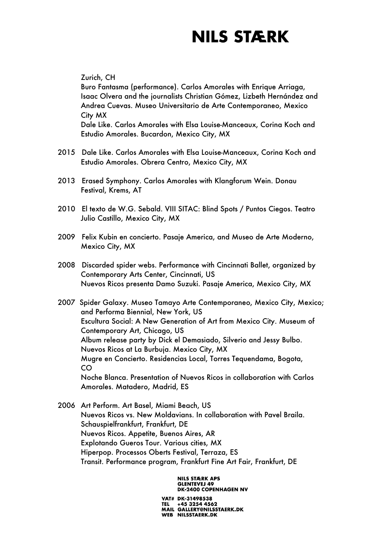Zurich, CH

Buro Fantasma (performance). Carlos Amorales with Enrique Arriaga, Isaac Olvera and the journalists Christian Gómez, Lizbeth Hernández and Andrea Cuevas. Museo Universitario de Arte Contemporaneo, Mexico City MX

Dale Like. Carlos Amorales with Elsa Louise-Manceaux, Corina Koch and Estudio Amorales. Bucardon, Mexico City, MX

- 2015 Dale Like. Carlos Amorales with Elsa Louise-Manceaux, Corina Koch and Estudio Amorales. Obrera Centro, Mexico City, MX
- 2013 Erased Symphony. Carlos Amorales with Klangforum Wein. Donau Festival, Krems, AT
- 2010 El texto de W.G. Sebald. VIII SITAC: Blind Spots / Puntos Ciegos. Teatro Julio Castillo, Mexico City, MX
- 2009 Felix Kubin en concierto. Pasaje America, and Museo de Arte Moderno, Mexico City, MX
- 2008 Discarded spider webs. Performance with Cincinnati Ballet, organized by Contemporary Arts Center, Cincinnati, US Nuevos Ricos presenta Damo Suzuki. Pasaje America, Mexico City, MX
- 2007 Spider Galaxy. Museo Tamayo Arte Contemporaneo, Mexico City, Mexico; and Performa Biennial, New York, US Escultura Social: A New Generation of Art from Mexico City. Museum of Contemporary Art, Chicago, US Album release party by Dick el Demasiado, Silverio and Jessy Bulbo. Nuevos Ricos at La Burbuja. Mexico City, MX Mugre en Concierto. Residencias Local, Torres Tequendama, Bogota, CO Noche Blanca. Presentation of Nuevos Ricos in collaboration with Carlos Amorales. Matadero, Madrid, ES
- 2006 Art Perform. Art Basel, Miami Beach, US Nuevos Ricos vs. New Moldavians. In collaboration with Pavel Braila. Schauspielfrankfurt, Frankfurt, DE Nuevos Ricos. Appetite, Buenos Aires, AR Explotando Gueros Tour. Various cities, MX Hiperpop. Processos Oberts Festival, Terraza, ES Transit. Performance program, Frankfurt Fine Art Fair, Frankfurt, DE

**NILS STÆRK APS GLENTEVEJ 49 DK-2400 COPENHAGEN NV**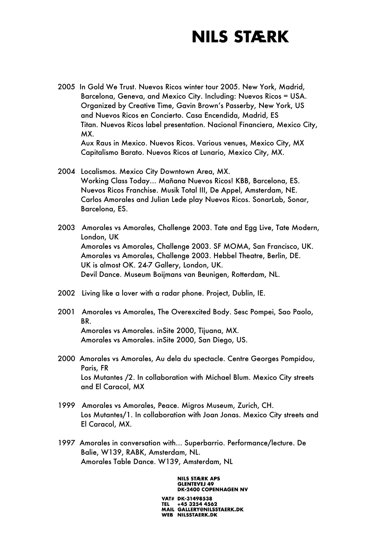2005 In Gold We Trust. Nuevos Ricos winter tour 2005. New York, Madrid, Barcelona, Geneva, and Mexico City. Including: Nuevos Ricos = USA. Organized by Creative Time, Gavin Brown's Passerby, New York, US and Nuevos Ricos en Concierto. Casa Encendida, Madrid, ES Titan. Nuevos Ricos label presentation. Nacional Financiera, Mexico City, MX. Aux Raus in Mexico. Nuevos Ricos. Various venues, Mexico City, MX

Capitalismo Barato. Nuevos Ricos at Lunario, Mexico City, MX.

2004 Localismos. Mexico City Downtown Area, MX. Working Class Today… Mañana Nuevos Ricos! KBB, Barcelona, ES. Nuevos Ricos Franchise. Musik Total III, De Appel, Amsterdam, NE. Carlos Amorales and Julian Lede play Nuevos Ricos. SonarLab, Sonar, Barcelona, ES.

2003 Amorales vs Amorales, Challenge 2003. Tate and Egg Live, Tate Modern, London, UK Amorales vs Amorales, Challenge 2003. SF MOMA, San Francisco, UK. Amorales vs Amorales, Challenge 2003. Hebbel Theatre, Berlin, DE. UK is almost OK. 24-7 Gallery, London, UK. Devil Dance. Museum Boijmans van Beunigen, Rotterdam, NL.

- 2002 Living like a lover with a radar phone. Project, Dublin, IE.
- 2001 Amorales vs Amorales, The Overexcited Body. Sesc Pompei, Sao Paolo, BR. Amorales vs Amorales. inSite 2000, Tijuana, MX. Amorales vs Amorales. inSite 2000, San Diego, US.
- 2000 Amorales vs Amorales, Au dela du spectacle. Centre Georges Pompidou, Paris, FR Los Mutantes /2. In collaboration with Michael Blum. Mexico City streets and El Caracol, MX
- 1999 Amorales vs Amorales, Peace. Migros Museum, Zurich, CH. Los Mutantes/1. In collaboration with Joan Jonas. Mexico City streets and El Caracol, MX.
- 1997 Amorales in conversation with... Superbarrio. Performance/lecture. De Balie, W139, RABK, Amsterdam, NL. Amorales Table Dance. W139, Amsterdam, NL

**NILS STÆRK APS GLENTEVEJ 49 DK-2400 COPENHAGEN NV**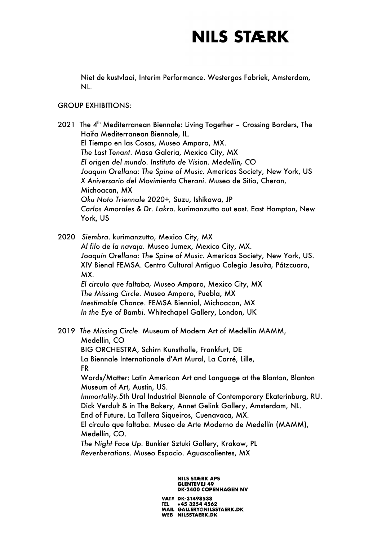Niet de kustvlaai, Interim Performance. Westergas Fabriek, Amsterdam, NL.

#### GROUP EXHIBITIONS:

2021 The  $4<sup>th</sup>$  Mediterranean Biennale: Living Together - Crossing Borders, The Haifa Mediterranean Biennale, IL. El Tiempo en las Cosas, Museo Amparo, MX. *The Last Tenant*. Masa Galeria, Mexico City, MX *El origen del mundo. Instituto de Vision. Medellin, CO Joaquin Orellana: The Spine of Music*. Americas Society, New York, US *X Aniversario del Movimiento Cherani*. Museo de Sitio, Cheran, Michoacan, MX *Oku Noto Triennale 2020+,* Suzu, Ishikawa, JP *Carlos Amorales & Dr. Lakra.* kurimanzutto out east. East Hampton, New York, US

2020 *Siembra*. kurimanzutto, Mexico City, MX *Al filo de la navaja.* Museo Jumex, Mexico City, MX. *Joaquín Orellana: The Spine of Music.* Americas Society, New York, US. XIV Bienal FEMSA. Centro Cultural Antiguo Colegio Jesuita, Pátzcuaro, MX. *El circulo que faltaba,* Museo Amparo, Mexico City, MX *The Missing Circle.* Museo Amparo, Puebla, MX *Inestimable Chance*. FEMSA Biennial, Michoacan, MX *In the Eye of Bambi.* Whitechapel Gallery, London, UK

2019 *The Missing Circle.* Museum of Modern Art of Medellin MAMM, Medellin, CO BIG ORCHESTRA, Schirn Kunsthalle, Frankfurt, DE La Biennale Internationale d'Art Mural, La Carré, Lille, FR Words/Matter: Latin American Art and Language at the Blanton, Blanton Museum of Art, Austin, US. *Immortality.*5th Ural Industrial Biennale of Contemporary Ekaterinburg, RU. Dick Verdult & in The Bakery, Annet Gelink Gallery, Amsterdam, NL. End of Future. La Tallera Siqueiros, Cuenavaca, MX. El círculo que faltaba. Museo de Arte Moderno de Medellín (MAMM), Medellín, CO. *The Night Face Up.* Bunkier Sztuki Gallery, Krakow, PL

*Reverberations*. Museo Espacio. Aguascalientes, MX

#### **NILS STÆRK APS GLENTEVEJ 49 DK-2400 COPENHAGEN NV**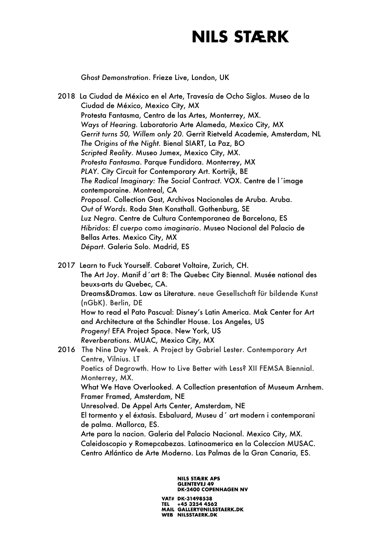*Ghost Demonstration*. Frieze Live, London, UK

2018 La Ciudad de México en el Arte, Travesía de Ocho Siglos. Museo de la Ciudad de México, Mexico City, MX Protesta Fantasma, Centro de las Artes, Monterrey, MX. *Ways of Hearing.* Laboratorio Arte Alameda, Mexico City, MX *Gerrit turns 50, Willem only 20.* Gerrit Rietveld Academie, Amsterdam, NL *The Origins of the Night.* Bienal SIART, La Paz, BO *Scripted Reality.* Museo Jumex, Mexico City, MX. *Protesta Fantasma*. Parque Fundidora. Monterrey, MX *PLAY*. City Circuit for Contemporary Art. Kortrijk, BE *The Radical Imaginary: The Social Contract.* VOX. Centre de l´image contemporaine. Montreal, CA *Proposal.* Collection Gast, Archivos Nacionales de Aruba. Aruba. *Out of Words.* Roda Sten Konsthall. Gothenburg, SE *Luz Negra.* Centre de Cultura Contemporanea de Barcelona, ES *Hibridos: El cuerpo como imaginario*. Museo Nacional del Palacio de Bellas Artes. Mexico City, MX *Départ*. Galeria Solo. Madrid, ES

2017 Learn to Fuck Yourself. Cabaret Voltaire, Zurich, CH. The Art Joy. Manif d´art 8: The Quebec City Biennal. Musée national des beuxs-arts du Quebec, CA. Dreams&Dramas. Law as Literature. neue Gesellschaft für bildende Kunst (nGbK). Berlin, DE How to read el Pato Pascual: Disney's Latin America. Mak Center for Art and Architecture at the Schindler House. Los Angeles, US *Progeny!* EFA Project Space. New York, US *Reverberations.* MUAC, Mexico City, MX

2016 The Nine Day Week. A Project by Gabriel Lester. Contemporary Art Centre, Vilnius. LT Poetics of Degrowth. How to Live Better with Less? XII FEMSA Biennial. Monterrey, MX. What We Have Overlooked. A Collection presentation of Museum Arnhem. Framer Framed, Amsterdam, NE Unresolved. De Appel Arts Center, Amsterdam, NE El tormento y el éxtasis. Esbaluard, Museu d´ art modern i contemporani de palma. Mallorca, ES. Arte para la nacion. Galeria del Palacio Nacional. Mexico City, MX. Caleidoscopio y Romepcabezas. Latinoamerica en la Coleccion MUSAC. Centro Atlántico de Arte Moderno. Las Palmas de la Gran Canaria, ES.

#### **NILS STÆRK APS GLENTEVEJ 49 DK-2400 COPENHAGEN NV**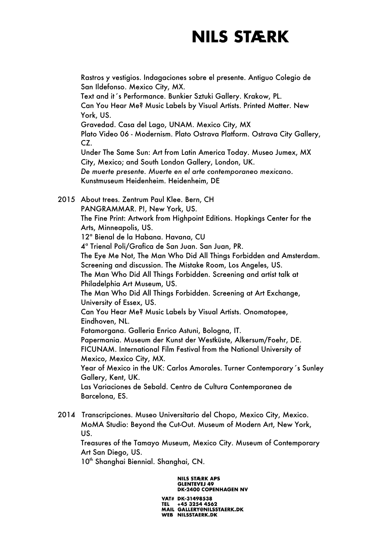Rastros y vestigios. Indagaciones sobre el presente. Antiguo Colegio de San Ildefonso. Mexico City, MX. Text and it´s Performance. Bunkier Sztuki Gallery. Krakow, PL. Can You Hear Me? Music Labels by Visual Artists. Printed Matter. New York, US. Gravedad. Casa del Lago, UNAM. Mexico City, MX Plato Video 06 - Modernism. Plato Ostrava Platform. Ostrava City Gallery, CZ. Under The Same Sun: Art from Latin America Today. Museo Jumex, MX City, Mexico; and South London Gallery, London, UK. *De muerte presente. Muerte en el arte contemporaneo mexicano*. Kunstmuseum Heidenheim. Heidenheim, DE 2015 About trees. Zentrum Paul Klee. Bern, CH PANGRAMMAR. P!, New York, US. The Fine Print: Artwork from Highpoint Editions. Hopkings Center for the Arts, Minneapolis, US. 12ª Bienal de la Habana. Havana, CU 4ª Trienal Poli/Grafica de San Juan. San Juan, PR. The Eye Me Not, The Man Who Did All Things Forbidden and Amsterdam. Screening and discussion. The Mistake Room, Los Angeles, US. The Man Who Did All Things Forbidden. Screening and artist talk at Philadelphia Art Museum, US. The Man Who Did All Things Forbidden. Screening at Art Exchange, University of Essex, US. Can You Hear Me? Music Labels by Visual Artists. Onomatopee, Eindhoven, NL.

Fatamorgana. Galleria Enrico Astuni, Bologna, IT.

Papermania. Museum der Kunst der Westküste, Alkersum/Foehr, DE. FICUNAM. International Film Festival from the National University of Mexico, Mexico City, MX.

Year of Mexico in the UK: Carlos Amorales. Turner Contemporary´s Sunley Gallery, Kent, UK.

Las Variaciones de Sebald. Centro de Cultura Contemporanea de Barcelona, ES.

2014 Transcripciones. Museo Universitario del Chopo, Mexico City, Mexico. MoMA Studio: Beyond the Cut-Out. Museum of Modern Art, New York, US.

Treasures of the Tamayo Museum, Mexico City. Museum of Contemporary Art San Diego, US.

10<sup>th</sup> Shanghai Biennial. Shanghai, CN.

**NILS STÆRK APS GLENTEVEJ 49 DK-2400 COPENHAGEN NV**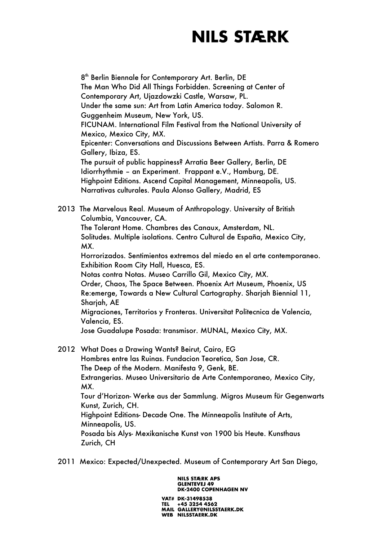8<sup>th</sup> Berlin Biennale for Contemporary Art. Berlin, DE The Man Who Did All Things Forbidden. Screening at Center of Contemporary Art, Ujazdowzki Castle, Warsaw, PL. Under the same sun: Art from Latin America today. Salomon R. Guggenheim Museum, New York, US. FICUNAM. International Film Festival from the National University of Mexico, Mexico City, MX. Epicenter: Conversations and Discussions Between Artists. Parra & Romero Gallery, Ibiza, ES. The pursuit of public happiness? Arratia Beer Gallery, Berlin, DE Idiorrhythmie – an Experiment. Frappant e.V., Hamburg, DE. Highpoint Editions. Ascend Capital Management, Minneapolis, US. Narrativas culturales. Paula Alonso Gallery, Madrid, ES

2013 The Marvelous Real. Museum of Anthropology. University of British Columbia, Vancouver, CA. The Tolerant Home. Chambres des Canaux, Amsterdam, NL. Solitudes. Multiple isolations. Centro Cultural de España, Mexico City, MX. Horrorizados. Sentimientos extremos del miedo en el arte contemporaneo. Exhibition Room City Hall, Huesca, ES. Notas contra Notas. Museo Carrillo Gil, Mexico City, MX. Order, Chaos, The Space Between. Phoenix Art Museum, Phoenix, US Re:emerge, Towards a New Cultural Cartography. Sharjah Biennial 11, Sharjah, AE Migraciones, Territorios y Fronteras. Universitat Politecnica de Valencia, Valencia, ES. Jose Guadalupe Posada: transmisor. MUNAL, Mexico City, MX. 2012 What Does a Drawing Wants? Beirut, Cairo, EG

- Hombres entre las Ruinas. Fundacion Teoretica, San Jose, CR. The Deep of the Modern. Manifesta 9, Genk, BE. Extrangerias. Museo Universitario de Arte Contemporaneo, Mexico City, MX. Tour d'Horizon- Werke aus der Sammlung. Migros Museum für Gegenwarts Kunst, Zurich, CH. Highpoint Editions- Decade One. The Minneapolis Institute of Arts, Minneapolis, US. Posada bis Alys- Mexikanische Kunst von 1900 bis Heute. Kunsthaus Zurich, CH
- 2011 Mexico: Expected/Unexpected. Museum of Contemporary Art San Diego,

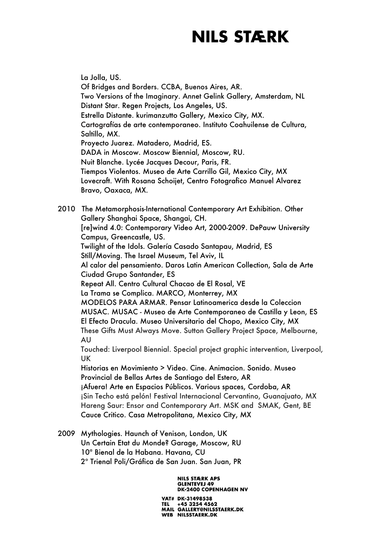La Jolla, US. Of Bridges and Borders. CCBA, Buenos Aires, AR. Two Versions of the Imaginary. Annet Gelink Gallery, Amsterdam, NL Distant Star. Regen Projects, Los Angeles, US. Estrella Distante. kurimanzutto Gallery, Mexico City, MX. Cartografías de arte contemporaneo. Instituto Coahuilense de Cultura, Saltillo, MX. Proyecto Juarez. Matadero, Madrid, ES. DADA in Moscow. Moscow Biennial, Moscow, RU. Nuit Blanche. Lycée Jacques Decour, Paris, FR. Tiempos Violentos. Museo de Arte Carrillo Gil, Mexico City, MX Lovecraft. With Rosana Schoijet, Centro Fotografico Manuel Alvarez Bravo, Oaxaca, MX. 2010 The Metamorphosis-International Contemporary Art Exhibition. Other Gallery Shanghai Space, Shangai, CH. [re]wind 4.0: Contemporary Video Art, 2000-2009. DePauw University Campus, Greencastle, US. Twilight of the Idols. Galería Casado Santapau, Madrid, ES Still/Moving. The Israel Museum, Tel Aviv, IL Al calor del pensamiento. Daros Latin American Collection, Sala de Arte Ciudad Grupo Santander, ES Repeat All. Centro Cultural Chacao de El Rosal, VE La Trama se Complica. MARCO, Monterrey, MX MODELOS PARA ARMAR. Pensar Latinoamerica desde la Coleccion MUSAC. MUSAC - Museo de Arte Contemporaneo de Castilla y Leon, ES El Efecto Dracula. Museo Universitario del Chopo, Mexico City, MX These Gifts Must Always Move. Sutton Gallery Project Space, Melbourne, AU Touched: Liverpool Biennial. Special project graphic intervention, Liverpool, UK Historias en Movimiento > Video. Cine. Animacion. Sonido. Museo Provincial de Bellas Artes de Santiago del Estero, AR ¡Afuera! Arte en Espacios Públicos. Various spaces, Cordoba, AR ¡Sin Techo está pelón! Festival Internacional Cervantino, Guanajuato, MX Hareng Saur: Ensor and Contemporary Art. MSK and SMAK, Gent, BE Cauce Critico. Casa Metropolitana, Mexico City, MX

2009 Mythologies. Haunch of Venison, London, UK Un Certain Etat du Monde? Garage, Moscow, RU 10ª Bienal de la Habana. Havana, CU 2º Trienal Poli/Gráfica de San Juan. San Juan, PR

> **NILS STÆRK APS GLENTEVEJ 49 DK-2400 COPENHAGEN NV**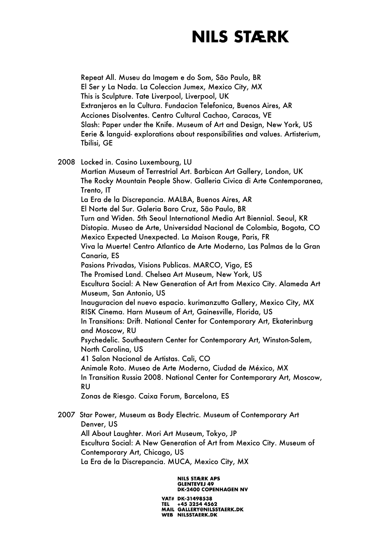Repeat All. Museu da Imagem e do Som, São Paulo, BR El Ser y La Nada. La Coleccion Jumex, Mexico City, MX This is Sculpture. Tate Liverpool, Liverpool, UK Extranjeros en la Cultura. Fundacion Telefonica, Buenos Aires, AR Acciones Disolventes. Centro Cultural Cachao, Caracas, VE Slash: Paper under the Knife. Museum of Art and Design, New York, US Eerie & languid- explorations about responsibilities and values. Artisterium, Tbilisi, GE

2008 Locked in. Casino Luxembourg, LU

Martian Museum of Terrestrial Art. Barbican Art Gallery, London, UK The Rocky Mountain People Show. Galleria Civica di Arte Contemporanea, Trento, IT La Era de la Discrepancia. MALBA, Buenos Aires, AR El Norte del Sur. Galeria Baro Cruz, São Paulo, BR Turn and Widen. 5th Seoul International Media Art Biennial. Seoul, KR Distopia. Museo de Arte, Universidad Nacional de Colombia, Bogota, CO Mexico Expected Unexpected. La Maison Rouge, Paris, FR Viva la Muerte! Centro Atlantico de Arte Moderno, Las Palmas de la Gran Canaria, ES Pasions Privadas, Visions Publicas. MARCO, Vigo, ES The Promised Land. Chelsea Art Museum, New York, US Escultura Social: A New Generation of Art from Mexico City. Alameda Art Museum, San Antonio, US Inauguracion del nuevo espacio. kurimanzutto Gallery, Mexico City, MX RISK Cinema. Harn Museum of Art, Gainesville, Florida, US In Transitions: Drift. National Center for Contemporary Art, Ekaterinburg and Moscow, RU Psychedelic. Southeastern Center for Contemporary Art, Winston-Salem, North Carolina, US 41 Salon Nacional de Artistas. Cali, CO Animale Roto. Museo de Arte Moderno, Ciudad de México, MX In Transition Russia 2008. National Center for Contemporary Art, Moscow, RU Zonas de Riesgo. Caixa Forum, Barcelona, ES

2007 Star Power, Museum as Body Electric. Museum of Contemporary Art Denver, US All About Laughter. Mori Art Museum, Tokyo, JP Escultura Social: A New Generation of Art from Mexico City. Museum of Contemporary Art, Chicago, US La Era de la Discrepancia. MUCA, Mexico City, MX

> **NILS STÆRK APS GLENTEVEJ 49 DK-2400 COPENHAGEN NV**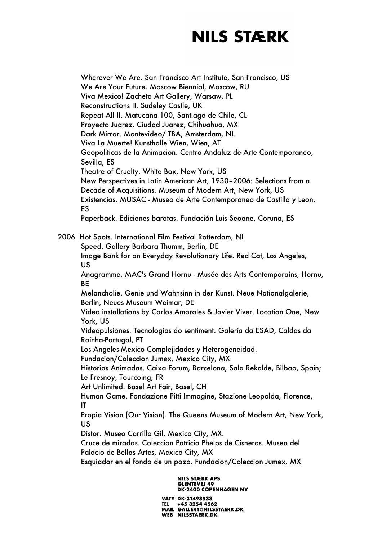Wherever We Are. San Francisco Art Institute, San Francisco, US We Are Your Future. Moscow Biennial, Moscow, RU Viva Mexico! Zacheta Art Gallery, Warsaw, PL Reconstructions II. Sudeley Castle, UK Repeat All II. Matucana 100, Santiago de Chile, CL Proyecto Juarez. Ciudad Juarez, Chihuahua, MX Dark Mirror. Montevideo/ TBA, Amsterdam, NL Viva La Muerte! Kunsthalle Wien, Wien, AT Geopoliticas de la Animacion. Centro Andaluz de Arte Contemporaneo, Sevilla, ES Theatre of Cruelty. White Box, New York, US New Perspectives in Latin American Art, 1930–2006: Selections from a Decade of Acquisitions. Museum of Modern Art, New York, US Existencias. MUSAC - Museo de Arte Contemporaneo de Castilla y Leon, ES Paperback. Ediciones baratas. Fundación Luis Seoane, Coruna, ES

2006 Hot Spots. International Film Festival Rotterdam, NL

Speed. Gallery Barbara Thumm, Berlin, DE

Image Bank for an Everyday Revolutionary Life. Red Cat, Los Angeles, US

Anagramme. MAC's Grand Hornu - Musée des Arts Contemporains, Hornu, **BF** 

Melancholie. Genie und Wahnsinn in der Kunst. Neue Nationalgalerie, Berlin, Neues Museum Weimar, DE

Video installations by Carlos Amorales & Javier Viver. Location One, New York, US

Videopulsiones. Tecnologias do sentiment. Galería da ESAD, Caldas da Rainha-Portugal, PT

Los Angeles-Mexico Complejidades y Heterogeneidad.

Fundacion/Coleccion Jumex, Mexico City, MX

Historias Animadas. Caixa Forum, Barcelona, Sala Rekalde, Bilbao, Spain; Le Fresnoy, Tourcoing, FR

Art Unlimited. Basel Art Fair, Basel, CH

Human Game. Fondazione Pitti Immagine, Stazione Leopolda, Florence, IT

Propia Vision (Our Vision). The Queens Museum of Modern Art, New York, US

Distor. Museo Carrillo Gil, Mexico City, MX.

Cruce de miradas. Coleccion Patricia Phelps de Cisneros. Museo del Palacio de Bellas Artes, Mexico City, MX

Esquiador en el fondo de un pozo. Fundacion/Coleccion Jumex, MX

#### **NILS STÆRK APS GLENTEVEJ 49 DK-2400 COPENHAGEN NV**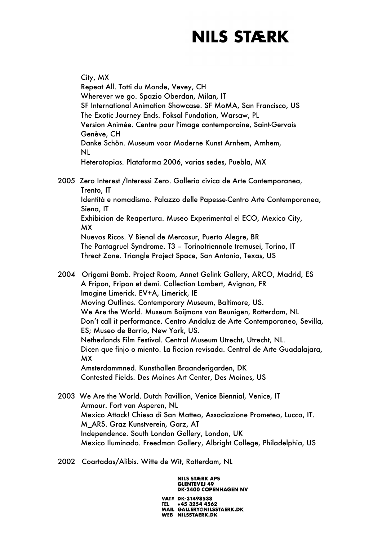City, MX Repeat All. Totti du Monde, Vevey, CH Wherever we go. Spazio Oberdan, Milan, IT SF International Animation Showcase. SF MoMA, San Francisco, US The Exotic Journey Ends. Foksal Fundation, Warsaw, PL Version Animée. Centre pour l'image contemporaine, Saint-Gervais Genève, CH Danke Schön. Museum voor Moderne Kunst Arnhem, Arnhem, NL Heterotopias. Plataforma 2006, varias sedes, Puebla, MX

2005 Zero Interest /Interessi Zero. Galleria civica de Arte Contemporanea, Trento, IT Identità e nomadismo. Palazzo delle Papesse-Centro Arte Contemporanea, Siena, IT Exhibicion de Reapertura. Museo Experimental el ECO, Mexico City, MX Nuevos Ricos. V Bienal de Mercosur, Puerto Alegre, BR The Pantagruel Syndrome. T3 – Torinotriennale tremusei, Torino, IT Threat Zone. Triangle Project Space, San Antonio, Texas, US

2004 Origami Bomb. Project Room, Annet Gelink Gallery, ARCO, Madrid, ES A Fripon, Fripon et demi. Collection Lambert, Avignon, FR Imagine Limerick. EV+A, Limerick, IE Moving Outlines. Contemporary Museum, Baltimore, US. We Are the World. Museum Boijmans van Beunigen, Rotterdam, NL Don't call it performance. Centro Andaluz de Arte Contemporaneo, Sevilla, ES; Museo de Barrio, New York, US. Netherlands Film Festival. Central Museum Utrecht, Utrecht, NL. Dicen que finjo o miento. La ficcion revisada. Central de Arte Guadalajara, MX Amsterdammned. Kunsthallen Braanderigarden, DK Contested Fields. Des Moines Art Center, Des Moines, US

- 2003 We Are the World. Dutch Pavillion, Venice Biennial, Venice, IT Armour. Fort van Asperen, NL Mexico Attack! Chiesa di San Matteo, Associazione Prometeo, Lucca, IT. M\_ARS. Graz Kunstverein, Garz, AT Independence. South London Gallery, London, UK Mexico Iluminado. Freedman Gallery, Albright College, Philadelphia, US
- 2002 Coartadas/Alibis. Witte de Wit, Rotterdam, NL

**NILS STÆRK APS GLENTEVEJ 49 DK-2400 COPENHAGEN NV** VAT# DK-31498538

TEL +45 3254 4562<br>MAIL GALLERY@NILSSTAERK.DK WEB NILSSTAERK.DK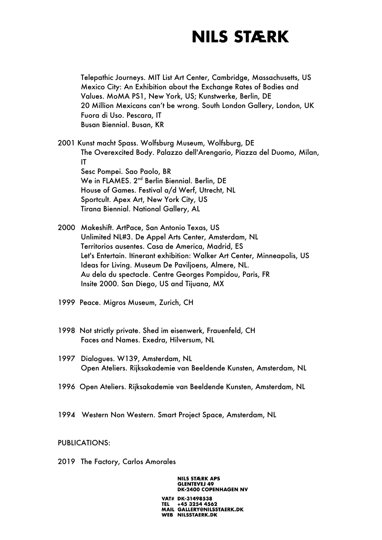Telepathic Journeys. MIT List Art Center, Cambridge, Massachusetts, US Mexico City: An Exhibition about the Exchange Rates of Bodies and Values. MoMA PS1, New York, US; Kunstwerke, Berlin, DE 20 Million Mexicans can't be wrong. South London Gallery, London, UK Fuora di Uso. Pescara, IT Busan Biennial. Busan, KR

2001 Kunst macht Spass. Wolfsburg Museum, Wolfsburg, DE The Overexcited Body. Palazzo dell'Arengario, Piazza del Duomo, Milan, IT Sesc Pompei. Sao Paolo, BR We in FLAMES. 2<sup>nd</sup> Berlin Biennial. Berlin, DE House of Games. Festival a/d Werf, Utrecht, NL Sportcult. Apex Art, New York City, US Tirana Biennial. National Gallery, AL

2000 Makeshift. ArtPace, San Antonio Texas, US Unlimited NL#3. De Appel Arts Center, Amsterdam, NL Territorios ausentes. Casa de America, Madrid, ES Let's Entertain. Itinerant exhibition: Walker Art Center, Minneapolis, US Ideas for Living. Museum De Paviljoens, Almere, NL. Au dela du spectacle. Centre Georges Pompidou, Paris, FR Insite 2000. San Diego, US and Tijuana, MX

- 1999 Peace. Migros Museum, Zurich, CH
- 1998 Not strictly private. Shed im eisenwerk, Frauenfeld, CH Faces and Names. Exedra, Hilversum, NL
- 1997 Dialogues. W139, Amsterdam, NL Open Ateliers. Rijksakademie van Beeldende Kunsten, Amsterdam, NL
- 1996 Open Ateliers. Rijksakademie van Beeldende Kunsten, Amsterdam, NL
- 1994 Western Non Western. Smart Project Space, Amsterdam, NL

#### PUBLICATIONS:

2019 The Factory, Carlos Amorales

#### **NILS STÆRK APS GLENTEVEJ 49 DK-2400 COPENHAGEN NV**